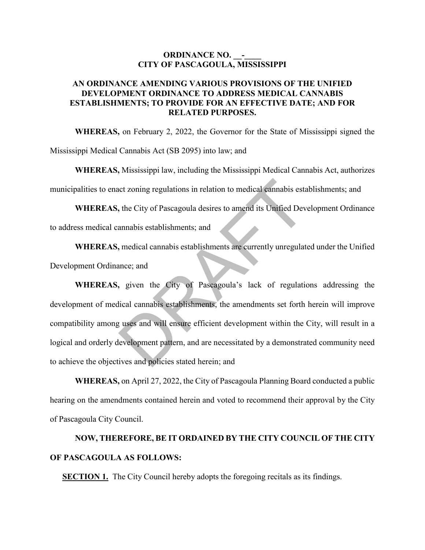## **ORDINANCE NO. -CITY OF PASCAGOULA, MISSISSIPPI**

## **AN ORDINANCE AMENDING VARIOUS PROVISIONS OF THE UNIFIED DEVELOPMENT ORDINANCE TO ADDRESS MEDICAL CANNABIS ESTABLISHMENTS; TO PROVIDE FOR AN EFFECTIVE DATE; AND FOR RELATED PURPOSES.**

**WHEREAS,** on February 2, 2022, the Governor for the State of Mississippi signed the Mississippi Medical Cannabis Act (SB 2095) into law; and

**WHEREAS,** Mississippi law, including the Mississippi Medical Cannabis Act, authorizes municipalities to enact zoning regulations in relation to medical cannabis establishments; and

**WHEREAS,** the City of Pascagoula desires to amend its Unified Development Ordinance to address medical cannabis establishments; and

**WHEREAS,** medical cannabis establishments are currently unregulated under the Unified Development Ordinance; and

**WHEREAS,** given the City of Pascagoula's lack of regulations addressing the development of medical cannabis establishments, the amendments set forth herein will improve compatibility among uses and will ensure efficient development within the City, will result in a logical and orderly development pattern, and are necessitated by a demonstrated community need to achieve the objectives and policies stated herein; and net zoning regulations in relation to medical cannabis esta<br>
the City of Pascagoula desires to amend its Unified Dev<br>
annabis establishments; and<br>
mee; and<br>
exection and<br>
times: and<br>
tical cannabis establishments are curre

**WHEREAS,** on April 27, 2022, the City of Pascagoula Planning Board conducted a public hearing on the amendments contained herein and voted to recommend their approval by the City of Pascagoula City Council.

## **NOW, THEREFORE, BE IT ORDAINED BY THE CITY COUNCIL OF THE CITY OF PASCAGOULA AS FOLLOWS:**

**SECTION 1.** The City Council hereby adopts the foregoing recitals as its findings.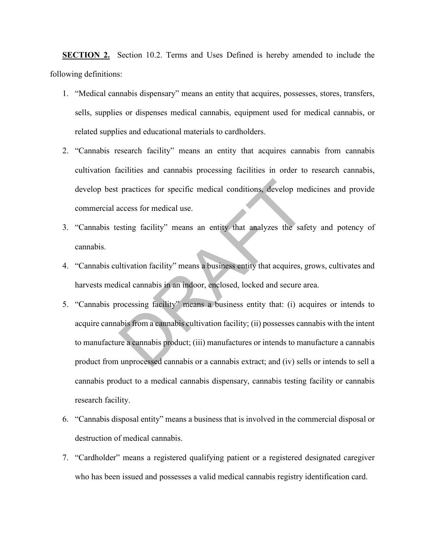**SECTION 2.** Section 10.2. Terms and Uses Defined is hereby amended to include the following definitions:

- 1. "Medical cannabis dispensary" means an entity that acquires, possesses, stores, transfers, sells, supplies or dispenses medical cannabis, equipment used for medical cannabis, or related supplies and educational materials to cardholders.
- 2. "Cannabis research facility" means an entity that acquires cannabis from cannabis cultivation facilities and cannabis processing facilities in order to research cannabis, develop best practices for specific medical conditions, develop medicines and provide commercial access for medical use.
- 3. "Cannabis testing facility" means an entity that analyzes the safety and potency of cannabis.
- 4. "Cannabis cultivation facility" means a business entity that acquires, grows, cultivates and harvests medical cannabis in an indoor, enclosed, locked and secure area.
- 5. "Cannabis processing facility" means a business entity that: (i) acquires or intends to acquire cannabis from a cannabis cultivation facility; (ii) possesses cannabis with the intent to manufacture a cannabis product; (iii) manufactures or intends to manufacture a cannabis product from unprocessed cannabis or a cannabis extract; and (iv) sells or intends to sell a cannabis product to a medical cannabis dispensary, cannabis testing facility or cannabis research facility. practices for specific medical conditions, develop me<br>access for medical use.<br>esting facility" means an entity that analyzes the safe<br>iltivation facility" means a business entity that acquires, g<br>ical cannabis in an indoor
- 6. "Cannabis disposal entity" means a business that is involved in the commercial disposal or destruction of medical cannabis.
- 7. "Cardholder" means a registered qualifying patient or a registered designated caregiver who has been issued and possesses a valid medical cannabis registry identification card.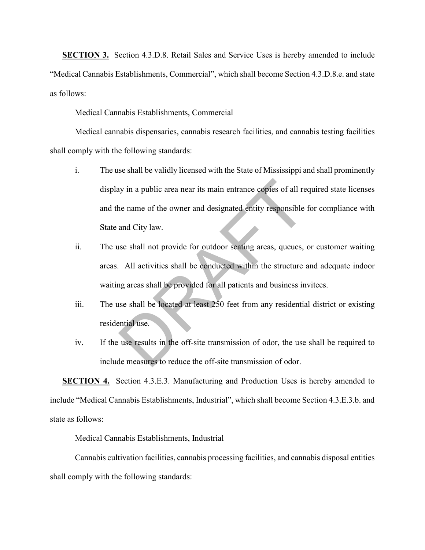**SECTION 3.** Section 4.3.D.8. Retail Sales and Service Uses is hereby amended to include "Medical Cannabis Establishments, Commercial", which shall become Section 4.3.D.8.e. and state as follows:

Medical Cannabis Establishments, Commercial

Medical cannabis dispensaries, cannabis research facilities, and cannabis testing facilities shall comply with the following standards:

- i. The use shall be validly licensed with the State of Mississippi and shall prominently display in a public area near its main entrance copies of all required state licenses and the name of the owner and designated entity responsible for compliance with State and City law. in a public area near its main entrance copies of all re<br>ne name of the owner and designated entity responsible<br>and City law.<br>see shall not provide for outdoor seating areas, queues,<br>All activities shall be conducted withi
- ii. The use shall not provide for outdoor seating areas, queues, or customer waiting areas. All activities shall be conducted within the structure and adequate indoor waiting areas shall be provided for all patients and business invitees.
- iii. The use shall be located at least 250 feet from any residential district or existing residential use.
- iv. If the use results in the off-site transmission of odor, the use shall be required to include measures to reduce the off-site transmission of odor.

**SECTION 4.** Section 4.3.E.3. Manufacturing and Production Uses is hereby amended to include "Medical Cannabis Establishments, Industrial", which shall become Section 4.3.E.3.b. and state as follows:

Medical Cannabis Establishments, Industrial

Cannabis cultivation facilities, cannabis processing facilities, and cannabis disposal entities shall comply with the following standards: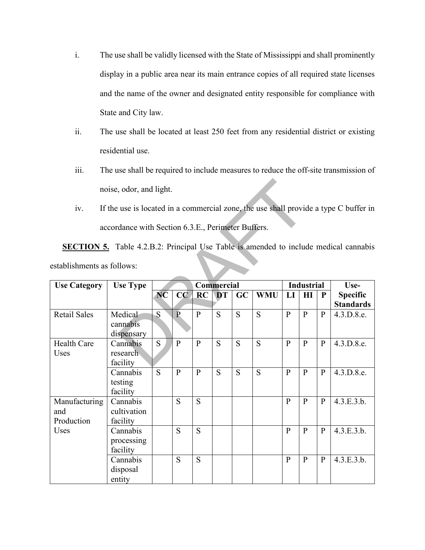- i. The use shall be validly licensed with the State of Mississippi and shall prominently display in a public area near its main entrance copies of all required state licenses and the name of the owner and designated entity responsible for compliance with State and City law.
- ii. The use shall be located at least 250 feet from any residential district or existing residential use.
- iii. The use shall be required to include measures to reduce the off-site transmission of noise, odor, and light.
- iv. If the use is located in a commercial zone, the use shall provide a type C buffer in accordance with Section 6.3.E., Perimeter Buffers.

|                                                                                             | noise, odor, and light.                                                              |           |                |              |            |    |            |                |                   |              |                                     |
|---------------------------------------------------------------------------------------------|--------------------------------------------------------------------------------------|-----------|----------------|--------------|------------|----|------------|----------------|-------------------|--------------|-------------------------------------|
| iv.                                                                                         | If the use is located in a commercial zone, the use shall provide a type C buffer in |           |                |              |            |    |            |                |                   |              |                                     |
|                                                                                             | accordance with Section 6.3.E., Perimeter Buffers.                                   |           |                |              |            |    |            |                |                   |              |                                     |
| <b>SECTION 5.</b> Table 4.2.B.2: Principal Use Table is amended to include medical cannabis |                                                                                      |           |                |              |            |    |            |                |                   |              |                                     |
| establishments as follows:                                                                  |                                                                                      |           |                |              |            |    |            |                |                   |              |                                     |
| <b>Use Category</b>                                                                         | <b>Use Type</b>                                                                      |           |                |              | Commercial |    |            |                | <b>Industrial</b> |              | Use-                                |
|                                                                                             |                                                                                      | <b>NC</b> | CC             | RC           | <b>DT</b>  | GC | <b>WMU</b> | LI             | HI                | ${\bf P}$    | <b>Specific</b><br><b>Standards</b> |
| <b>Retail Sales</b>                                                                         | Medical<br>cannabis<br>dispensary                                                    | S         | $\overline{P}$ | $\mathbf{P}$ | S          | S  | S          | $\overline{P}$ | $\mathbf{P}$      | $\mathbf{P}$ | 4.3.D.8.e.                          |
| <b>Health Care</b><br>Uses                                                                  | Cannabis<br>research<br>facility                                                     | S         | $\mathbf{P}$   | $\mathbf{P}$ | S          | S  | S          | $\mathbf{P}$   | $\mathbf{P}$      | $\mathbf{P}$ | 4.3.D.8.e.                          |
|                                                                                             | Cannabis<br>testing<br>facility                                                      | S         | $\mathbf{P}$   | $\mathbf{P}$ | S          | S  | S          | $\mathbf{P}$   | $\mathbf{P}$      | $\mathbf{P}$ | 4.3.D.8.e.                          |
| Manufacturing<br>and<br>Production<br>Uses                                                  | Cannabis<br>cultivation<br>facility                                                  |           | S              | S            |            |    |            | $\mathbf{P}$   | $\mathbf{P}$      | $\mathbf{P}$ | 4.3.E.3.b.                          |
|                                                                                             | Cannabis<br>processing<br>facility                                                   |           | S              | S            |            |    |            | $\mathbf{P}$   | $\mathbf{P}$      | $\mathbf{P}$ | 4.3.E.3.b.                          |
|                                                                                             | Cannabis<br>disposal<br>entity                                                       |           | S              | S            |            |    |            | $\mathbf{p}$   | $\mathbf{P}$      | $\mathbf{P}$ | 4.3.E.3.b.                          |